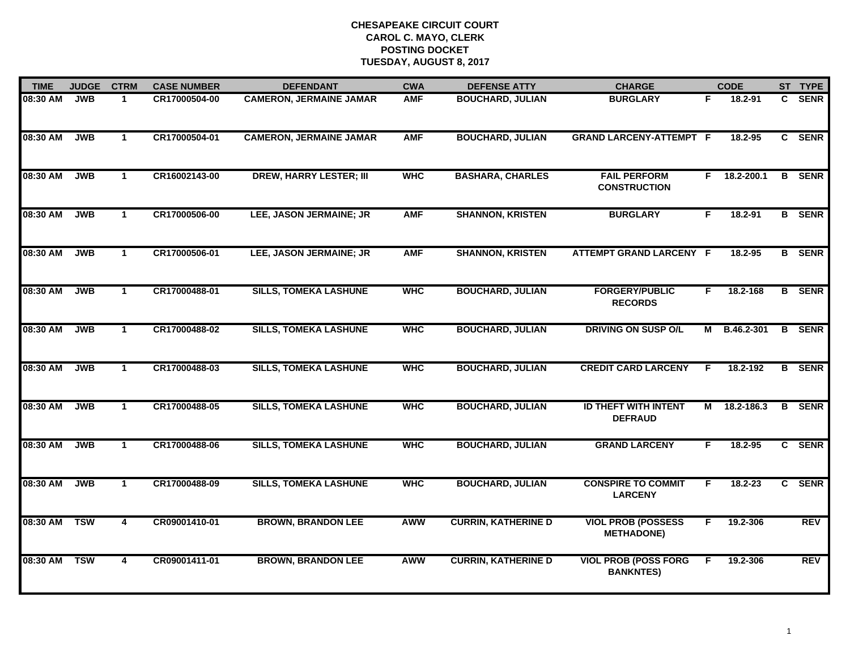| <b>TIME</b> | <b>JUDGE</b> | <b>CTRM</b>          | <b>CASE NUMBER</b> | <b>DEFENDANT</b>               | <b>CWA</b> | <b>DEFENSE ATTY</b>        | <b>CHARGE</b>                                   |    | <b>CODE</b>    |    | ST TYPE       |
|-------------|--------------|----------------------|--------------------|--------------------------------|------------|----------------------------|-------------------------------------------------|----|----------------|----|---------------|
| 08:30 AM    | <b>JWB</b>   | $\mathbf 1$          | CR17000504-00      | <b>CAMERON, JERMAINE JAMAR</b> | <b>AMF</b> | <b>BOUCHARD, JULIAN</b>    | <b>BURGLARY</b>                                 | F. | 18.2-91        | C. | <b>SENR</b>   |
| 08:30 AM    | <b>JWB</b>   | $\mathbf{1}$         | CR17000504-01      | <b>CAMERON, JERMAINE JAMAR</b> | <b>AMF</b> | <b>BOUCHARD, JULIAN</b>    | <b>GRAND LARCENY-ATTEMPT F</b>                  |    | 18.2-95        |    | C SENR        |
| 08:30 AM    | <b>JWB</b>   | $\mathbf{1}$         | CR16002143-00      | <b>DREW, HARRY LESTER; III</b> | <b>WHC</b> | <b>BASHARA, CHARLES</b>    | <b>FAIL PERFORM</b><br><b>CONSTRUCTION</b>      |    | $F$ 18.2-200.1 |    | <b>B</b> SENR |
| 08:30 AM    | <b>JWB</b>   | $\mathbf 1$          | CR17000506-00      | LEE, JASON JERMAINE; JR        | <b>AMF</b> | <b>SHANNON, KRISTEN</b>    | <b>BURGLARY</b>                                 | F  | $18.2 - 91$    |    | <b>B</b> SENR |
| 08:30 AM    | <b>JWB</b>   | $\mathbf{1}$         | CR17000506-01      | LEE, JASON JERMAINE; JR        | <b>AMF</b> | <b>SHANNON, KRISTEN</b>    | <b>ATTEMPT GRAND LARCENY F</b>                  |    | 18.2-95        |    | <b>B</b> SENR |
| 08:30 AM    | <b>JWB</b>   | $\mathbf{1}$         | CR17000488-01      | <b>SILLS, TOMEKA LASHUNE</b>   | <b>WHC</b> | <b>BOUCHARD, JULIAN</b>    | <b>FORGERY/PUBLIC</b><br><b>RECORDS</b>         | F. | 18.2-168       |    | <b>B</b> SENR |
| 08:30 AM    | <b>JWB</b>   | $\mathbf{1}$         | CR17000488-02      | <b>SILLS, TOMEKA LASHUNE</b>   | <b>WHC</b> | <b>BOUCHARD, JULIAN</b>    | <b>DRIVING ON SUSP O/L</b>                      | М  | B.46.2-301     |    | <b>B</b> SENR |
| 08:30 AM    | <b>JWB</b>   | $\mathbf{1}$         | CR17000488-03      | <b>SILLS, TOMEKA LASHUNE</b>   | <b>WHC</b> | <b>BOUCHARD, JULIAN</b>    | <b>CREDIT CARD LARCENY</b>                      | F  | 18.2-192       |    | <b>B</b> SENR |
| 08:30 AM    | <b>JWB</b>   | $\blacktriangleleft$ | CR17000488-05      | <b>SILLS, TOMEKA LASHUNE</b>   | <b>WHC</b> | <b>BOUCHARD, JULIAN</b>    | <b>ID THEFT WITH INTENT</b><br><b>DEFRAUD</b>   | М  | 18.2-186.3     |    | <b>B</b> SENR |
| 08:30 AM    | <b>JWB</b>   | $\mathbf{1}$         | CR17000488-06      | <b>SILLS, TOMEKA LASHUNE</b>   | <b>WHC</b> | <b>BOUCHARD, JULIAN</b>    | <b>GRAND LARCENY</b>                            | F  | $18.2 - 95$    |    | C SENR        |
| 08:30 AM    | <b>JWB</b>   | $\mathbf{1}$         | CR17000488-09      | <b>SILLS, TOMEKA LASHUNE</b>   | <b>WHC</b> | <b>BOUCHARD, JULIAN</b>    | <b>CONSPIRE TO COMMIT</b><br><b>LARCENY</b>     | F. | $18.2 - 23$    |    | C SENR        |
| 08:30 AM    | <b>TSW</b>   | 4                    | CR09001410-01      | <b>BROWN, BRANDON LEE</b>      | <b>AWW</b> | <b>CURRIN, KATHERINE D</b> | <b>VIOL PROB (POSSESS</b><br><b>METHADONE)</b>  | F. | 19.2-306       |    | <b>REV</b>    |
| 08:30 AM    | <b>TSW</b>   | 4                    | CR09001411-01      | <b>BROWN, BRANDON LEE</b>      | <b>AWW</b> | <b>CURRIN, KATHERINE D</b> | <b>VIOL PROB (POSS FORG</b><br><b>BANKNTES)</b> | F  | 19.2-306       |    | <b>REV</b>    |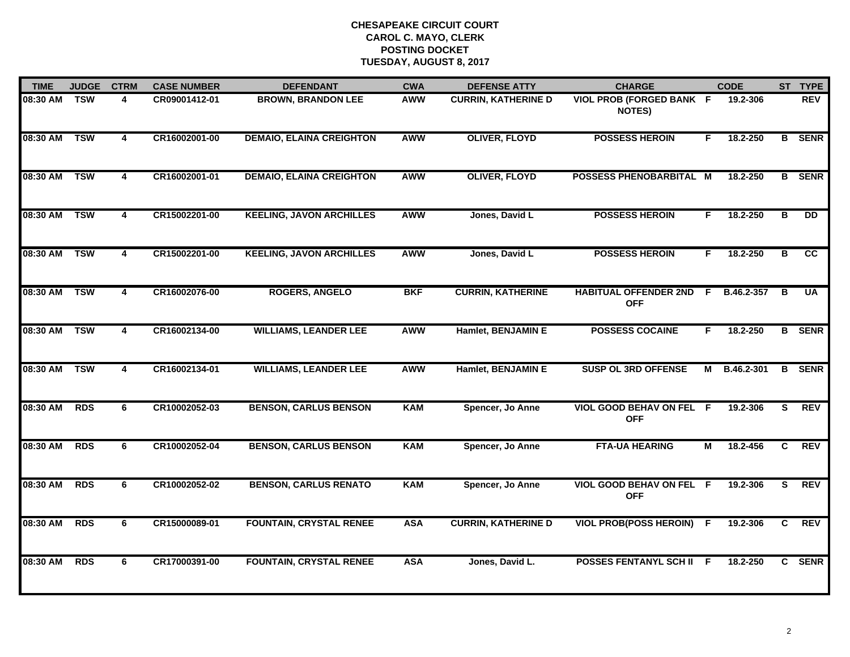| <b>TIME</b>  | <b>JUDGE</b> | <b>CTRM</b>             | <b>CASE NUMBER</b> | <b>DEFENDANT</b>                | <b>CWA</b> | <b>DEFENSE ATTY</b>        | <b>CHARGE</b>                                    |           | <b>CODE</b>  |                | ST TYPE       |
|--------------|--------------|-------------------------|--------------------|---------------------------------|------------|----------------------------|--------------------------------------------------|-----------|--------------|----------------|---------------|
| 08:30 AM     | <b>TSW</b>   | 4                       | CR09001412-01      | <b>BROWN, BRANDON LEE</b>       | <b>AWW</b> | <b>CURRIN, KATHERINE D</b> | <b>VIOL PROB (FORGED BANK F</b><br><b>NOTES)</b> |           | 19.2-306     |                | <b>REV</b>    |
| 08:30 AM     | <b>TSW</b>   | $\overline{4}$          | CR16002001-00      | <b>DEMAIO, ELAINA CREIGHTON</b> | <b>AWW</b> | <b>OLIVER, FLOYD</b>       | <b>POSSESS HEROIN</b>                            | F.        | 18.2-250     |                | <b>B</b> SENR |
| 08:30 AM     | <b>TSW</b>   | $\overline{\mathbf{4}}$ | CR16002001-01      | <b>DEMAIO, ELAINA CREIGHTON</b> | <b>AWW</b> | <b>OLIVER, FLOYD</b>       | POSSESS PHENOBARBITAL M                          |           | 18.2-250     |                | <b>B</b> SENR |
| 08:30 AM     | <b>TSW</b>   | 4                       | CR15002201-00      | <b>KEELING, JAVON ARCHILLES</b> | <b>AWW</b> | Jones, David L             | <b>POSSESS HEROIN</b>                            | F.        | 18.2-250     | в              | <b>DD</b>     |
| 08:30 AM     | <b>TSW</b>   | 4                       | CR15002201-00      | <b>KEELING, JAVON ARCHILLES</b> | <b>AWW</b> | Jones, David L             | <b>POSSESS HEROIN</b>                            | F.        | 18.2-250     | в              | cc            |
| 08:30 AM TSW |              | 4                       | CR16002076-00      | <b>ROGERS, ANGELO</b>           | <b>BKF</b> | <b>CURRIN, KATHERINE</b>   | <b>HABITUAL OFFENDER 2ND</b><br><b>OFF</b>       | $\vec{F}$ | B.46.2-357   | B              | <b>UA</b>     |
| 08:30 AM     | <b>TSW</b>   | 4                       | CR16002134-00      | <b>WILLIAMS, LEANDER LEE</b>    | <b>AWW</b> | Hamlet, BENJAMIN E         | <b>POSSESS COCAINE</b>                           | F.        | 18.2-250     |                | <b>B</b> SENR |
| 08:30 AM     | <b>TSW</b>   | 4                       | CR16002134-01      | <b>WILLIAMS, LEANDER LEE</b>    | <b>AWW</b> | Hamlet, BENJAMIN E         | <b>SUSP OL 3RD OFFENSE</b>                       |           | M B.46.2-301 | B              | <b>SENR</b>   |
| 08:30 AM     | <b>RDS</b>   | 6                       | CR10002052-03      | <b>BENSON, CARLUS BENSON</b>    | <b>KAM</b> | Spencer, Jo Anne           | <b>VIOL GOOD BEHAV ON FEL</b><br><b>OFF</b>      | - F       | 19.2-306     | S              | <b>REV</b>    |
| 08:30 AM     | <b>RDS</b>   | 6                       | CR10002052-04      | <b>BENSON, CARLUS BENSON</b>    | <b>KAM</b> | Spencer, Jo Anne           | <b>FTA-UA HEARING</b>                            | М         | 18.2-456     | C              | <b>REV</b>    |
| 08:30 AM     | <b>RDS</b>   | 6                       | CR10002052-02      | <b>BENSON, CARLUS RENATO</b>    | <b>KAM</b> | Spencer, Jo Anne           | VIOL GOOD BEHAV ON FEL F<br><b>OFF</b>           |           | 19.2-306     | s              | <b>REV</b>    |
| 08:30 AM     | <b>RDS</b>   | 6                       | CR15000089-01      | <b>FOUNTAIN, CRYSTAL RENEE</b>  | <b>ASA</b> | <b>CURRIN, KATHERINE D</b> | <b>VIOL PROB(POSS HEROIN)</b>                    | F.        | 19.2-306     | $\overline{c}$ | <b>REV</b>    |
| 08:30 AM     | <b>RDS</b>   | 6                       | CR17000391-00      | <b>FOUNTAIN, CRYSTAL RENEE</b>  | <b>ASA</b> | Jones, David L.            | <b>POSSES FENTANYL SCH II F</b>                  |           | 18.2-250     | $\mathbf{c}$   | <b>SENR</b>   |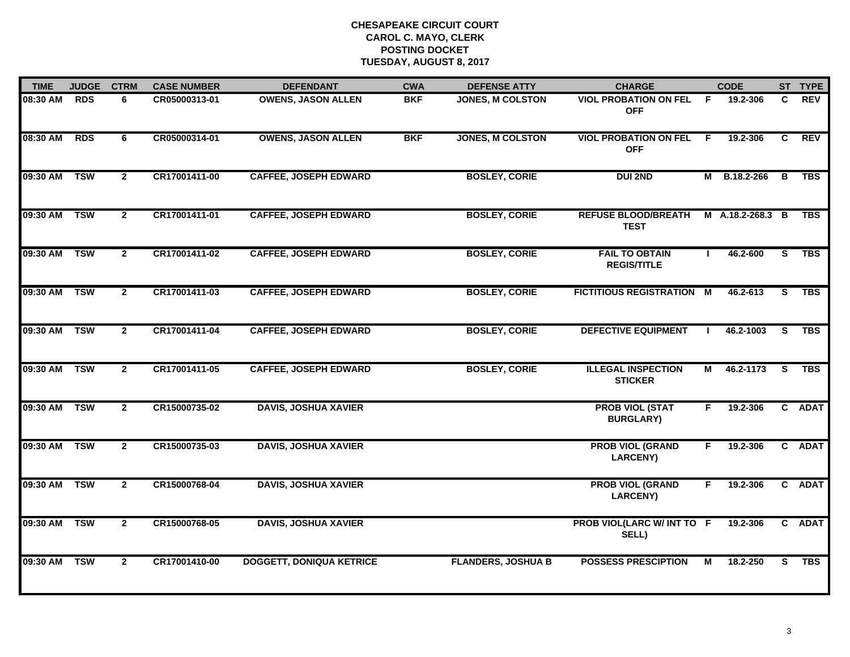| <b>TIME</b>  | <b>JUDGE</b> | <b>CTRM</b>    | <b>CASE NUMBER</b> | <b>DEFENDANT</b>                | <b>CWA</b> | <b>DEFENSE ATTY</b>       | <b>CHARGE</b>                               |     | <b>CODE</b>      |                         | ST TYPE    |
|--------------|--------------|----------------|--------------------|---------------------------------|------------|---------------------------|---------------------------------------------|-----|------------------|-------------------------|------------|
| 08:30 AM     | <b>RDS</b>   | 6              | CR05000313-01      | <b>OWENS, JASON ALLEN</b>       | <b>BKF</b> | JONES, M COLSTON          | <b>VIOL PROBATION ON FEL</b><br><b>OFF</b>  | - F | 19.2-306         | C                       | <b>REV</b> |
| 08:30 AM     | <b>RDS</b>   | 6              | CR05000314-01      | <b>OWENS, JASON ALLEN</b>       | <b>BKF</b> | <b>JONES, M COLSTON</b>   | <b>VIOL PROBATION ON FEL</b><br><b>OFF</b>  | - F | 19.2-306         | C                       | <b>REV</b> |
| 09:30 AM     | <b>TSW</b>   | $\overline{2}$ | CR17001411-00      | <b>CAFFEE, JOSEPH EDWARD</b>    |            | <b>BOSLEY, CORIE</b>      | <b>DUI 2ND</b>                              |     | M B.18.2-266     | B                       | <b>TBS</b> |
| 09:30 AM     | <b>TSW</b>   | $\mathbf{2}$   | CR17001411-01      | <b>CAFFEE, JOSEPH EDWARD</b>    |            | <b>BOSLEY, CORIE</b>      | <b>REFUSE BLOOD/BREATH</b><br><b>TEST</b>   |     | M A.18.2-268.3 B |                         | <b>TBS</b> |
| 09:30 AM     | <b>TSW</b>   | $\mathbf{2}$   | CR17001411-02      | <b>CAFFEE, JOSEPH EDWARD</b>    |            | <b>BOSLEY, CORIE</b>      | <b>FAIL TO OBTAIN</b><br><b>REGIS/TITLE</b> |     | 46.2-600         | S                       | <b>TBS</b> |
| 09:30 AM TSW |              | $\mathbf{2}$   | CR17001411-03      | <b>CAFFEE, JOSEPH EDWARD</b>    |            | <b>BOSLEY, CORIE</b>      | FICTITIOUS REGISTRATION M                   |     | 46.2-613         | $\overline{\mathbf{s}}$ | <b>TBS</b> |
| 09:30 AM TSW |              | $2^{\circ}$    | CR17001411-04      | <b>CAFFEE, JOSEPH EDWARD</b>    |            | <b>BOSLEY, CORIE</b>      | <b>DEFECTIVE EQUIPMENT</b>                  |     | 46.2-1003        | $\overline{s}$          | <b>TBS</b> |
| 09:30 AM TSW |              | $\overline{2}$ | CR17001411-05      | <b>CAFFEE, JOSEPH EDWARD</b>    |            | <b>BOSLEY, CORIE</b>      | <b>ILLEGAL INSPECTION</b><br><b>STICKER</b> | M   | 46.2-1173        | <b>S</b>                | <b>TBS</b> |
| 09:30 AM TSW |              | $\mathbf{2}$   | CR15000735-02      | <b>DAVIS, JOSHUA XAVIER</b>     |            |                           | <b>PROB VIOL (STAT</b><br><b>BURGLARY)</b>  | F   | 19.2-306         |                         | C ADAT     |
| 09:30 AM     | <b>TSW</b>   | $\mathbf{2}$   | CR15000735-03      | <b>DAVIS, JOSHUA XAVIER</b>     |            |                           | <b>PROB VIOL (GRAND</b><br><b>LARCENY)</b>  | F.  | 19.2-306         |                         | C ADAT     |
| 09:30 AM TSW |              | $\mathbf{2}$   | CR15000768-04      | <b>DAVIS, JOSHUA XAVIER</b>     |            |                           | <b>PROB VIOL (GRAND</b><br><b>LARCENY)</b>  | F.  | 19.2-306         |                         | C ADAT     |
| 09:30 AM     | <b>TSW</b>   | $\overline{2}$ | CR15000768-05      | <b>DAVIS, JOSHUA XAVIER</b>     |            |                           | PROB VIOL(LARC W/ INT TO F<br>SELL)         |     | 19.2-306         |                         | C ADAT     |
| 09:30 AM     | <b>TSW</b>   | $\overline{2}$ | CR17001410-00      | <b>DOGGETT, DONIQUA KETRICE</b> |            | <b>FLANDERS, JOSHUA B</b> | <b>POSSESS PRESCIPTION</b>                  | м   | 18.2-250         | S.                      | <b>TBS</b> |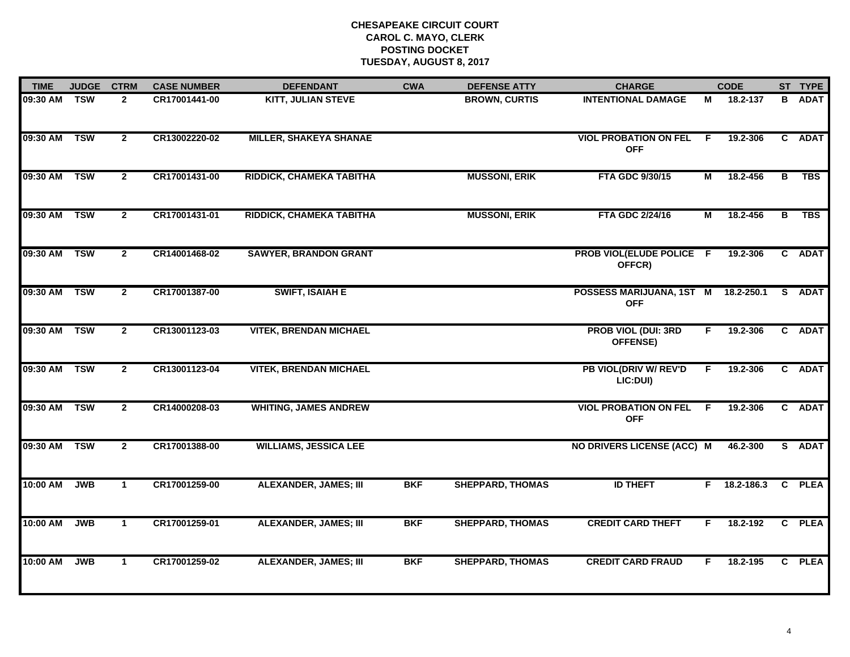| <b>TIME</b>  | <b>JUDGE</b>            | <b>CTRM</b>    | <b>CASE NUMBER</b> | <b>DEFENDANT</b>              | <b>CWA</b> | <b>DEFENSE ATTY</b>     | <b>CHARGE</b>                              |                | <b>CODE</b>    |    | ST TYPE       |
|--------------|-------------------------|----------------|--------------------|-------------------------------|------------|-------------------------|--------------------------------------------|----------------|----------------|----|---------------|
| 09:30 AM     | <b>TSW</b>              | $\mathbf{2}$   | CR17001441-00      | <b>KITT, JULIAN STEVE</b>     |            | <b>BROWN, CURTIS</b>    | <b>INTENTIONAL DAMAGE</b>                  | М              | 18.2-137       |    | <b>B</b> ADAT |
| 09:30 AM     | $\overline{\text{TSW}}$ | $\overline{2}$ | CR13002220-02      | <b>MILLER, SHAKEYA SHANAE</b> |            |                         | <b>VIOL PROBATION ON FEL</b><br><b>OFF</b> | -F             | 19.2-306       |    | C ADAT        |
| 09:30 AM     | <b>TSW</b>              | $\overline{2}$ | CR17001431-00      | RIDDICK, CHAMEKA TABITHA      |            | <b>MUSSONI, ERIK</b>    | FTA GDC 9/30/15                            | $\blacksquare$ | 18.2-456       | в  | <b>TBS</b>    |
| 09:30 AM     | <b>TSW</b>              | $\overline{2}$ | CR17001431-01      | RIDDICK, CHAMEKA TABITHA      |            | <b>MUSSONI, ERIK</b>    | FTA GDC 2/24/16                            | М              | 18.2-456       | B  | <b>TBS</b>    |
| 09:30 AM     | <b>TSW</b>              | $\mathbf{2}$   | CR14001468-02      | <b>SAWYER, BRANDON GRANT</b>  |            |                         | PROB VIOL(ELUDE POLICE F<br>OFFCR)         |                | 19.2-306       |    | C ADAT        |
| 09:30 AM     | <b>TSW</b>              | $\mathbf{2}$   | CR17001387-00      | <b>SWIFT, ISAIAH E</b>        |            |                         | POSSESS MARIJUANA, 1ST M<br><b>OFF</b>     |                | 18.2-250.1     | S. | <b>ADAT</b>   |
| 09:30 AM     | <b>TSW</b>              | $\overline{2}$ | CR13001123-03      | <b>VITEK, BRENDAN MICHAEL</b> |            |                         | <b>PROB VIOL (DUI: 3RD</b><br>OFFENSE)     | F.             | 19.2-306       |    | C ADAT        |
| 09:30 AM     | <b>TSW</b>              | $\mathbf{2}$   | CR13001123-04      | <b>VITEK, BRENDAN MICHAEL</b> |            |                         | PB VIOL(DRIV W/ REV'D<br>LIC:DUI)          | F.             | 19.2-306       |    | C ADAT        |
| 09:30 AM     | <b>TSW</b>              | $\mathbf{2}$   | CR14000208-03      | <b>WHITING, JAMES ANDREW</b>  |            |                         | <b>VIOL PROBATION ON FEL</b><br><b>OFF</b> | F.             | 19.2-306       |    | C ADAT        |
| 09:30 AM TSW |                         | $\overline{2}$ | CR17001388-00      | <b>WILLIAMS, JESSICA LEE</b>  |            |                         | <b>NO DRIVERS LICENSE (ACC) M</b>          |                | 46.2-300       |    | S ADAT        |
| 10:00 AM     | JWB                     | $\mathbf{1}$   | CR17001259-00      | <b>ALEXANDER, JAMES; III</b>  | <b>BKF</b> | <b>SHEPPARD, THOMAS</b> | <b>ID THEFT</b>                            |                | $F$ 18.2-186.3 |    | C PLEA        |
| 10:00 AM     | <b>JWB</b>              | $\mathbf{1}$   | CR17001259-01      | <b>ALEXANDER, JAMES; III</b>  | <b>BKF</b> | <b>SHEPPARD, THOMAS</b> | <b>CREDIT CARD THEFT</b>                   | F              | 18.2-192       |    | C PLEA        |
| 10:00 AM     | <b>JWB</b>              | $\mathbf 1$    | CR17001259-02      | <b>ALEXANDER, JAMES; III</b>  | <b>BKF</b> | <b>SHEPPARD, THOMAS</b> | <b>CREDIT CARD FRAUD</b>                   | F              | 18.2-195       |    | C PLEA        |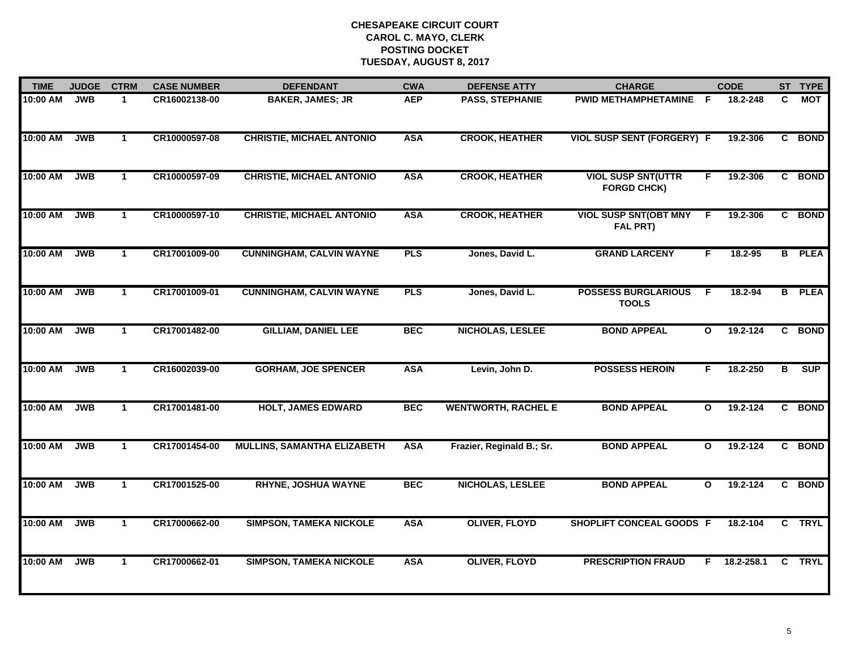| <b>TIME</b> | <b>JUDGE</b> | <b>CTRM</b>          | <b>CASE NUMBER</b> | <b>DEFENDANT</b>                   | <b>CWA</b> | <b>DEFENSE ATTY</b>        | <b>CHARGE</b>                                   |              | <b>CODE</b> |    | ST TYPE       |
|-------------|--------------|----------------------|--------------------|------------------------------------|------------|----------------------------|-------------------------------------------------|--------------|-------------|----|---------------|
| 10:00 AM    | <b>JWB</b>   | $\mathbf{1}$         | CR16002138-00      | <b>BAKER, JAMES; JR</b>            | <b>AEP</b> | <b>PASS, STEPHANIE</b>     | PWID METHAMPHETAMINE F                          |              | 18.2-248    | C  | <b>MOT</b>    |
| 10:00 AM    | <b>JWB</b>   | $\mathbf{1}$         | CR10000597-08      | <b>CHRISTIE, MICHAEL ANTONIO</b>   | <b>ASA</b> | <b>CROOK, HEATHER</b>      | <b>VIOL SUSP SENT (FORGERY) F</b>               |              | 19.2-306    |    | C BOND        |
| 10:00 AM    | <b>JWB</b>   | $\mathbf{1}$         | CR10000597-09      | <b>CHRISTIE, MICHAEL ANTONIO</b>   | <b>ASA</b> | <b>CROOK, HEATHER</b>      | <b>VIOL SUSP SNT(UTTR</b><br><b>FORGD CHCK)</b> | F.           | 19.2-306    |    | C BOND        |
| 10:00 AM    | <b>JWB</b>   | 1                    | CR10000597-10      | <b>CHRISTIE, MICHAEL ANTONIO</b>   | <b>ASA</b> | <b>CROOK, HEATHER</b>      | <b>VIOL SUSP SNT(OBT MNY</b><br>FAL PRT)        | F            | 19.2-306    |    | C BOND        |
| 10:00 AM    | <b>JWB</b>   | $\mathbf{1}$         | CR17001009-00      | <b>CUNNINGHAM, CALVIN WAYNE</b>    | <b>PLS</b> | Jones, David L.            | <b>GRAND LARCENY</b>                            | F.           | 18.2-95     |    | <b>B</b> PLEA |
| 10:00 AM    | <b>JWB</b>   | $\mathbf 1$          | CR17001009-01      | <b>CUNNINGHAM, CALVIN WAYNE</b>    | <b>PLS</b> | Jones, David L.            | <b>POSSESS BURGLARIOUS</b><br><b>TOOLS</b>      | -F.          | 18.2-94     |    | <b>B</b> PLEA |
| 10:00 AM    | <b>JWB</b>   | $\mathbf{1}$         | CR17001482-00      | <b>GILLIAM, DANIEL LEE</b>         | <b>BEC</b> | NICHOLAS, LESLEE           | <b>BOND APPEAL</b>                              | $\mathbf{o}$ | 19.2-124    |    | C BOND        |
| 10:00 AM    | <b>JWB</b>   | $\mathbf 1$          | CR16002039-00      | <b>GORHAM, JOE SPENCER</b>         | <b>ASA</b> | Levin, John D.             | <b>POSSESS HEROIN</b>                           | F.           | 18.2-250    | в  | <b>SUP</b>    |
| 10:00 AM    | <b>JWB</b>   | $\mathbf{1}$         | CR17001481-00      | <b>HOLT, JAMES EDWARD</b>          | <b>BEC</b> | <b>WENTWORTH, RACHEL E</b> | <b>BOND APPEAL</b>                              | $\mathbf{o}$ | 19.2-124    |    | C BOND        |
| 10:00 AM    | <b>JWB</b>   | $\mathbf{1}$         | CR17001454-00      | <b>MULLINS, SAMANTHA ELIZABETH</b> | <b>ASA</b> | Frazier, Reginald B.; Sr.  | <b>BOND APPEAL</b>                              | $\mathbf{o}$ | 19.2-124    |    | C BOND        |
| 10:00 AM    | <b>JWB</b>   | $\mathbf{1}$         | CR17001525-00      | <b>RHYNE, JOSHUA WAYNE</b>         | <b>BEC</b> | NICHOLAS, LESLEE           | <b>BOND APPEAL</b>                              | $\mathbf{o}$ | 19.2-124    |    | C BOND        |
| 10:00 AM    | <b>JWB</b>   | $\mathbf{1}$         | CR17000662-00      | <b>SIMPSON, TAMEKA NICKOLE</b>     | <b>ASA</b> | <b>OLIVER, FLOYD</b>       | SHOPLIFT CONCEAL GOODS F                        |              | 18.2-104    |    | C TRYL        |
| 10:00 AM    | <b>JWB</b>   | $\blacktriangleleft$ | CR17000662-01      | <b>SIMPSON, TAMEKA NICKOLE</b>     | <b>ASA</b> | <b>OLIVER, FLOYD</b>       | <b>PRESCRIPTION FRAUD</b>                       | F            | 18.2-258.1  | C. | <b>TRYL</b>   |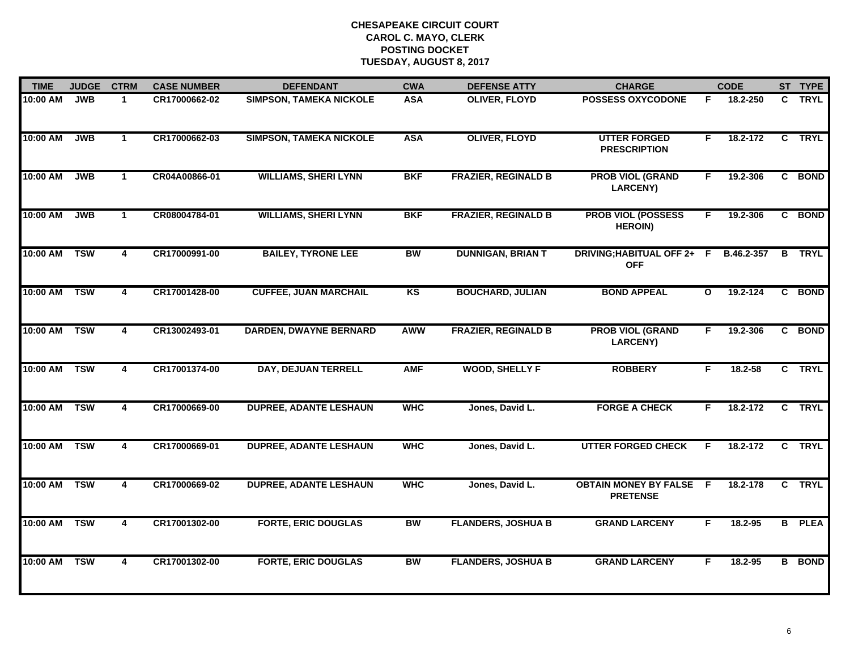| <b>TIME</b>  | <b>JUDGE</b> | <b>CTRM</b>             | <b>CASE NUMBER</b> | <b>DEFENDANT</b>               | <b>CWA</b> | <b>DEFENSE ATTY</b>        | <b>CHARGE</b>                                     |              | <b>CODE</b> |                | ST TYPE       |
|--------------|--------------|-------------------------|--------------------|--------------------------------|------------|----------------------------|---------------------------------------------------|--------------|-------------|----------------|---------------|
| 10:00 AM     | <b>JWB</b>   | $\mathbf{1}$            | CR17000662-02      | <b>SIMPSON, TAMEKA NICKOLE</b> | <b>ASA</b> | <b>OLIVER, FLOYD</b>       | <b>POSSESS OXYCODONE</b>                          | F.           | 18.2-250    |                | C TRYL        |
| 10:00 AM     | JWB          | $\mathbf{1}$            | CR17000662-03      | <b>SIMPSON, TAMEKA NICKOLE</b> | <b>ASA</b> | <b>OLIVER, FLOYD</b>       | <b>UTTER FORGED</b><br><b>PRESCRIPTION</b>        | F.           | 18.2-172    | $\overline{c}$ | <b>TRYL</b>   |
| 10:00 AM     | <b>JWB</b>   | $\mathbf 1$             | CR04A00866-01      | <b>WILLIAMS, SHERI LYNN</b>    | <b>BKF</b> | <b>FRAZIER, REGINALD B</b> | <b>PROB VIOL (GRAND</b><br><b>LARCENY)</b>        | F.           | 19.2-306    |                | C BOND        |
| 10:00 AM     | <b>JWB</b>   | $\blacktriangleleft$    | CR08004784-01      | <b>WILLIAMS, SHERI LYNN</b>    | <b>BKF</b> | <b>FRAZIER, REGINALD B</b> | <b>PROB VIOL (POSSESS</b><br><b>HEROIN)</b>       | F.           | 19.2-306    |                | C BOND        |
| 10:00 AM     | <b>TSW</b>   | $\overline{4}$          | CR17000991-00      | <b>BAILEY, TYRONE LEE</b>      | <b>BW</b>  | <b>DUNNIGAN, BRIAN T</b>   | DRIVING; HABITUAL OFF 2+ F<br><b>OFF</b>          |              | B.46.2-357  | B              | <b>TRYL</b>   |
| 10:00 AM     | <b>TSW</b>   | $\overline{4}$          | CR17001428-00      | <b>CUFFEE, JUAN MARCHAIL</b>   | <b>KS</b>  | <b>BOUCHARD, JULIAN</b>    | <b>BOND APPEAL</b>                                | $\mathbf{o}$ | 19.2-124    |                | C BOND        |
| 10:00 AM     | <b>TSW</b>   | $\overline{\mathbf{4}}$ | CR13002493-01      | <b>DARDEN, DWAYNE BERNARD</b>  | <b>AWW</b> | <b>FRAZIER, REGINALD B</b> | <b>PROB VIOL (GRAND</b><br><b>LARCENY)</b>        | F.           | 19.2-306    |                | C BOND        |
| 10:00 AM     | <b>TSW</b>   | 4                       | CR17001374-00      | DAY, DEJUAN TERRELL            | <b>AMF</b> | <b>WOOD, SHELLY F</b>      | <b>ROBBERY</b>                                    | F.           | 18.2-58     |                | C TRYL        |
| 10:00 AM TSW |              | 4                       | CR17000669-00      | <b>DUPREE, ADANTE LESHAUN</b>  | <b>WHC</b> | Jones, David L.            | <b>FORGE A CHECK</b>                              | F.           | 18.2-172    |                | C TRYL        |
| 10:00 AM TSW |              | 4                       | CR17000669-01      | <b>DUPREE, ADANTE LESHAUN</b>  | <b>WHC</b> | Jones, David L.            | <b>UTTER FORGED CHECK</b>                         | F.           | 18.2-172    |                | C TRYL        |
| 10:00 AM     | <b>TSW</b>   | $\overline{\mathbf{4}}$ | CR17000669-02      | <b>DUPREE, ADANTE LESHAUN</b>  | <b>WHC</b> | Jones, David L.            | <b>OBTAIN MONEY BY FALSE F</b><br><b>PRETENSE</b> |              | 18.2-178    |                | C TRYL        |
| 10:00 AM     | <b>TSW</b>   | 4                       | CR17001302-00      | <b>FORTE, ERIC DOUGLAS</b>     | <b>BW</b>  | <b>FLANDERS, JOSHUA B</b>  | <b>GRAND LARCENY</b>                              | F.           | 18.2-95     |                | <b>B</b> PLEA |
| 10:00 AM     | <b>TSW</b>   | 4                       | CR17001302-00      | <b>FORTE, ERIC DOUGLAS</b>     | <b>BW</b>  | <b>FLANDERS, JOSHUA B</b>  | <b>GRAND LARCENY</b>                              | F            | $18.2 - 95$ |                | <b>B</b> BOND |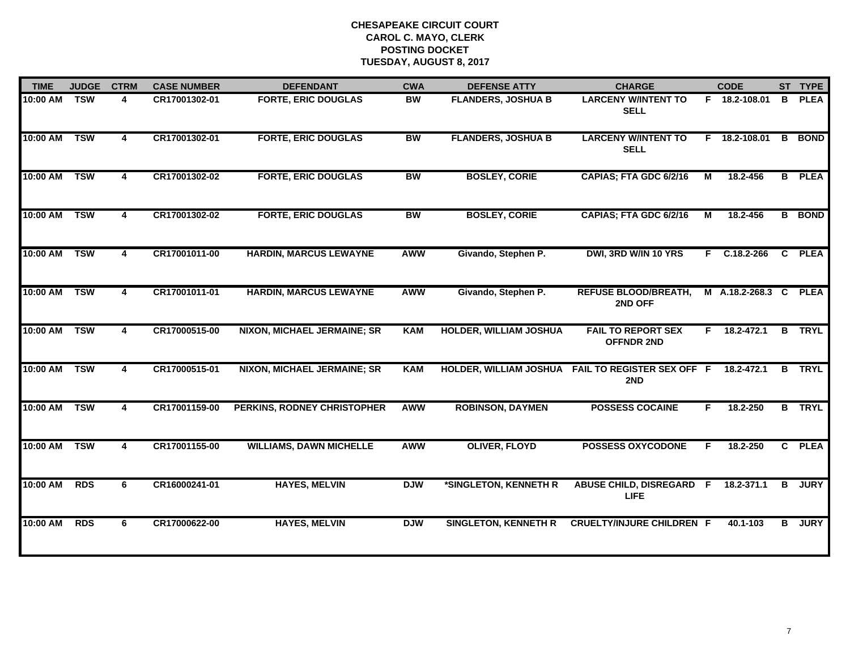| <b>TIME</b> | <b>JUDGE</b> | <b>CTRM</b> | <b>CASE NUMBER</b> | <b>DEFENDANT</b>                   | <b>CWA</b> | <b>DEFENSE ATTY</b>           | <b>CHARGE</b>                                            |    | <b>CODE</b>      |                         | ST TYPE       |
|-------------|--------------|-------------|--------------------|------------------------------------|------------|-------------------------------|----------------------------------------------------------|----|------------------|-------------------------|---------------|
| 10:00 AM    | <b>TSW</b>   | 4           | CR17001302-01      | <b>FORTE, ERIC DOUGLAS</b>         | <b>BW</b>  | <b>FLANDERS, JOSHUA B</b>     | <b>LARCENY W/INTENT TO</b><br><b>SELL</b>                |    | F 18.2-108.01    | в                       | <b>PLEA</b>   |
| 10:00 AM    | <b>TSW</b>   | 4           | CR17001302-01      | <b>FORTE, ERIC DOUGLAS</b>         | <b>BW</b>  | <b>FLANDERS, JOSHUA B</b>     | <b>LARCENY W/INTENT TO</b><br><b>SELL</b>                |    | F 18.2-108.01    | $\overline{\mathbf{B}}$ | <b>BOND</b>   |
| 10:00 AM    | <b>TSW</b>   | 4           | CR17001302-02      | <b>FORTE, ERIC DOUGLAS</b>         | <b>BW</b>  | <b>BOSLEY, CORIE</b>          | CAPIAS; FTA GDC 6/2/16                                   | М  | 18.2-456         | $\overline{B}$          | <b>PLEA</b>   |
| 10:00 AM    | <b>TSW</b>   | 4           | CR17001302-02      | <b>FORTE, ERIC DOUGLAS</b>         | BW         | <b>BOSLEY, CORIE</b>          | CAPIAS; FTA GDC 6/2/16                                   | М  | 18.2-456         |                         | <b>B</b> BOND |
| 10:00 AM    | <b>TSW</b>   | 4           | CR17001011-00      | <b>HARDIN, MARCUS LEWAYNE</b>      | <b>AWW</b> | Givando, Stephen P.           | DWI, 3RD W/IN 10 YRS                                     |    | $F$ C.18.2-266   | C.                      | <b>PLEA</b>   |
| 10:00 AM    | <b>TSW</b>   | 4           | CR17001011-01      | <b>HARDIN, MARCUS LEWAYNE</b>      | <b>AWW</b> | Givando, Stephen P.           | <b>REFUSE BLOOD/BREATH,</b><br>2ND OFF                   |    | M A.18.2-268.3 C |                         | <b>PLEA</b>   |
| 10:00 AM    | <b>TSW</b>   | 4           | CR17000515-00      | <b>NIXON, MICHAEL JERMAINE; SR</b> | <b>KAM</b> | <b>HOLDER, WILLIAM JOSHUA</b> | <b>FAIL TO REPORT SEX</b><br><b>OFFNDR 2ND</b>           |    | F 18.2-472.1     | B                       | <b>TRYL</b>   |
| 10:00 AM    | <b>TSW</b>   | 4           | CR17000515-01      | <b>NIXON, MICHAEL JERMAINE; SR</b> | <b>KAM</b> |                               | HOLDER, WILLIAM JOSHUA FAIL TO REGISTER SEX OFF F<br>2ND |    | 18.2-472.1       | B                       | <b>TRYL</b>   |
| 10:00 AM    | <b>TSW</b>   | 4           | CR17001159-00      | PERKINS, RODNEY CHRISTOPHER        | <b>AWW</b> | <b>ROBINSON, DAYMEN</b>       | <b>POSSESS COCAINE</b>                                   | F. | 18.2-250         | B                       | <b>TRYL</b>   |
| 10:00 AM    | <b>TSW</b>   | 4           | CR17001155-00      | <b>WILLIAMS, DAWN MICHELLE</b>     | <b>AWW</b> | <b>OLIVER, FLOYD</b>          | <b>POSSESS OXYCODONE</b>                                 | F  | 18.2-250         | $\mathbf{C}$            | <b>PLEA</b>   |
| 10:00 AM    | <b>RDS</b>   | 6           | CR16000241-01      | <b>HAYES, MELVIN</b>               | <b>DJW</b> | *SINGLETON, KENNETH R         | ABUSE CHILD, DISREGARD F 18.2-371.1<br><b>LIFE</b>       |    |                  | в                       | <b>JURY</b>   |
| 10:00 AM    | <b>RDS</b>   | 6           | CR17000622-00      | <b>HAYES, MELVIN</b>               | <b>DJW</b> | <b>SINGLETON, KENNETH R</b>   | <b>CRUELTY/INJURE CHILDREN F</b>                         |    | 40.1-103         | в                       | <b>JURY</b>   |